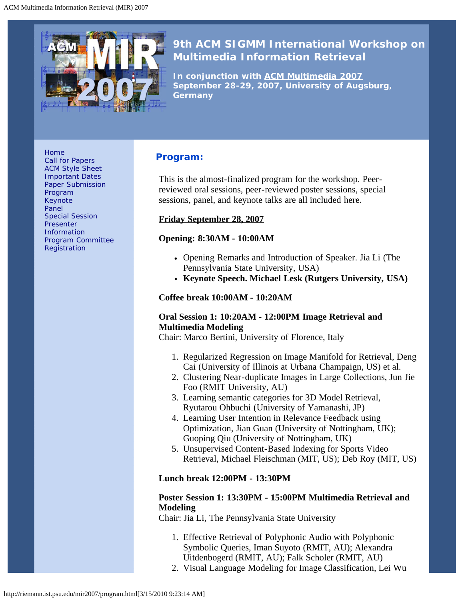<span id="page-0-0"></span>

# **9th ACM SIGMM International Workshop on Multimedia Information Retrieval**

*In conjunction with [ACM Multimedia 2007](http://www.acmmm07.org/) September 28-29, 2007, University of Augsburg, Germany*

[Home](http://riemann.ist.psu.edu/mir2007/index.html) [Call for Papers](http://riemann.ist.psu.edu/mir2007/callforpapers.html) [ACM Style Sheet](http://www.acm.org/sigs/pubs/proceed/template.html) [Important Dates](http://riemann.ist.psu.edu/mir2007/imptdates.html) [Paper Submission](http://riemann.ist.psu.edu/mir2007/papersubmission.html) [Program](#page-0-0) [Keynote](http://riemann.ist.psu.edu/mir2007/keynote.html) [Panel](http://riemann.ist.psu.edu/mir2007/panelsession.html) [Special Session](http://riemann.ist.psu.edu/mir2007/specialsession.html) **[Presenter](http://riemann.ist.psu.edu/mir2007/presenterinfo.html) [Information](http://riemann.ist.psu.edu/mir2007/presenterinfo.html)** [Program Committee](http://riemann.ist.psu.edu/mir2007/programcom.html) **[Registration](http://riemann.ist.psu.edu/mir2007/registration.html)** 

# **Program:**

This is the almost-finalized program for the workshop. Peerreviewed oral sessions, peer-reviewed poster sessions, special sessions, panel, and keynote talks are all included here.

#### **Friday September 28, 2007**

#### **Opening: 8:30AM - 10:00AM**

- Opening Remarks and Introduction of Speaker. Jia Li (The Pennsylvania State University, USA)
- **Keynote Speech. Michael Lesk (Rutgers University, USA)**

#### **Coffee break 10:00AM - 10:20AM**

#### **Oral Session 1: 10:20AM - 12:00PM Image Retrieval and Multimedia Modeling**

Chair: Marco Bertini, University of Florence, Italy

- 1. Regularized Regression on Image Manifold for Retrieval, Deng Cai (University of Illinois at Urbana Champaign, US) et al.
- 2. Clustering Near-duplicate Images in Large Collections, Jun Jie Foo (RMIT University, AU)
- 3. Learning semantic categories for 3D Model Retrieval, Ryutarou Ohbuchi (University of Yamanashi, JP)
- 4. Learning User Intention in Relevance Feedback using Optimization, Jian Guan (University of Nottingham, UK); Guoping Qiu (University of Nottingham, UK)
- 5. Unsupervised Content-Based Indexing for Sports Video Retrieval, Michael Fleischman (MIT, US); Deb Roy (MIT, US)

#### **Lunch break 12:00PM - 13:30PM**

#### **Poster Session 1: 13:30PM - 15:00PM Multimedia Retrieval and Modeling**

Chair: Jia Li, The Pennsylvania State University

- 1. Effective Retrieval of Polyphonic Audio with Polyphonic Symbolic Queries, Iman Suyoto (RMIT, AU); Alexandra Uitdenbogerd (RMIT, AU); Falk Scholer (RMIT, AU)
- 2. Visual Language Modeling for Image Classification, Lei Wu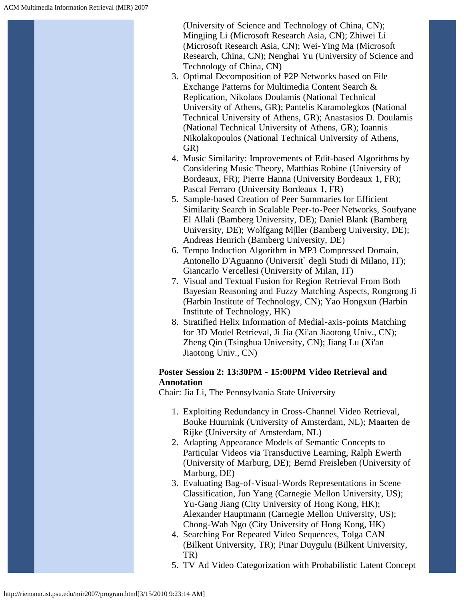(University of Science and Technology of China, CN); Mingjing Li (Microsoft Research Asia, CN); Zhiwei Li (Microsoft Research Asia, CN); Wei-Ying Ma (Microsoft Research, China, CN); Nenghai Yu (University of Science and Technology of China, CN)

- 3. Optimal Decomposition of P2P Networks based on File Exchange Patterns for Multimedia Content Search & Replication, Nikolaos Doulamis (National Technical University of Athens, GR); Pantelis Karamolegkos (National Technical University of Athens, GR); Anastasios D. Doulamis (National Technical University of Athens, GR); Ioannis Nikolakopoulos (National Technical University of Athens, GR)
- 4. Music Similarity: Improvements of Edit-based Algorithms by Considering Music Theory, Matthias Robine (University of Bordeaux, FR); Pierre Hanna (University Bordeaux 1, FR); Pascal Ferraro (University Bordeaux 1, FR)
- 5. Sample-based Creation of Peer Summaries for Efficient Similarity Search in Scalable Peer-to-Peer Networks, Soufyane El Allali (Bamberg University, DE); Daniel Blank (Bamberg University, DE); Wolfgang M|ller (Bamberg University, DE); Andreas Henrich (Bamberg University, DE)
- 6. Tempo Induction Algorithm in MP3 Compressed Domain, Antonello D'Aguanno (Universit` degli Studi di Milano, IT); Giancarlo Vercellesi (University of Milan, IT)
- 7. Visual and Textual Fusion for Region Retrieval From Both Bayesian Reasoning and Fuzzy Matching Aspects, Rongrong Ji (Harbin Institute of Technology, CN); Yao Hongxun (Harbin Institute of Technology, HK)
- 8. Stratified Helix Information of Medial-axis-points Matching for 3D Model Retrieval, Ji Jia (Xi'an Jiaotong Univ., CN); Zheng Qin (Tsinghua University, CN); Jiang Lu (Xi'an Jiaotong Univ., CN)

#### **Poster Session 2: 13:30PM - 15:00PM Video Retrieval and Annotation**

Chair: Jia Li, The Pennsylvania State University

- 1. Exploiting Redundancy in Cross-Channel Video Retrieval, Bouke Huurnink (University of Amsterdam, NL); Maarten de Rijke (University of Amsterdam, NL)
- 2. Adapting Appearance Models of Semantic Concepts to Particular Videos via Transductive Learning, Ralph Ewerth (University of Marburg, DE); Bernd Freisleben (University of Marburg, DE)
- 3. Evaluating Bag-of-Visual-Words Representations in Scene Classification, Jun Yang (Carnegie Mellon University, US); Yu-Gang Jiang (City University of Hong Kong, HK); Alexander Hauptmann (Carnegie Mellon University, US); Chong-Wah Ngo (City University of Hong Kong, HK)
- 4. Searching For Repeated Video Sequences, Tolga CAN (Bilkent University, TR); Pinar Duygulu (Bilkent University, TR)
- 5. TV Ad Video Categorization with Probabilistic Latent Concept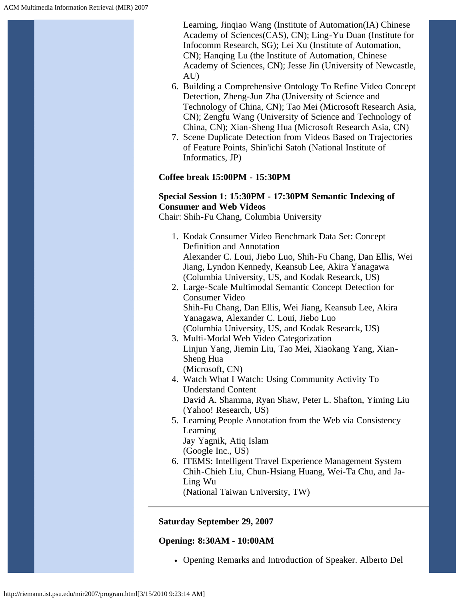Learning, Jinqiao Wang (Institute of Automation(IA) Chinese Academy of Sciences(CAS), CN); Ling-Yu Duan (Institute for Infocomm Research, SG); Lei Xu (Institute of Automation, CN); Hanqing Lu (the Institute of Automation, Chinese Academy of Sciences, CN); Jesse Jin (University of Newcastle, AU)

- 6. Building a Comprehensive Ontology To Refine Video Concept Detection, Zheng-Jun Zha (University of Science and Technology of China, CN); Tao Mei (Microsoft Research Asia, CN); Zengfu Wang (University of Science and Technology of China, CN); Xian-Sheng Hua (Microsoft Research Asia, CN)
- 7. Scene Duplicate Detection from Videos Based on Trajectories of Feature Points, Shin'ichi Satoh (National Institute of Informatics, JP)

#### **Coffee break 15:00PM - 15:30PM**

#### **Special Session 1: 15:30PM - 17:30PM Semantic Indexing of Consumer and Web Videos**

Chair: Shih-Fu Chang, Columbia University

- 1. Kodak Consumer Video Benchmark Data Set: Concept Definition and Annotation Alexander C. Loui, Jiebo Luo, Shih-Fu Chang, Dan Ellis, Wei Jiang, Lyndon Kennedy, Keansub Lee, Akira Yanagawa (Columbia University, US, and Kodak Researck, US)
- 2. Large-Scale Multimodal Semantic Concept Detection for Consumer Video Shih-Fu Chang, Dan Ellis, Wei Jiang, Keansub Lee, Akira Yanagawa, Alexander C. Loui, Jiebo Luo (Columbia University, US, and Kodak Researck, US)
- 3. Multi-Modal Web Video Categorization Linjun Yang, Jiemin Liu, Tao Mei, Xiaokang Yang, Xian-Sheng Hua (Microsoft, CN)
- 4. Watch What I Watch: Using Community Activity To Understand Content David A. Shamma, Ryan Shaw, Peter L. Shafton, Yiming Liu (Yahoo! Research, US)
- 5. Learning People Annotation from the Web via Consistency Learning Jay Yagnik, Atiq Islam (Google Inc., US)
- 6. ITEMS: Intelligent Travel Experience Management System Chih-Chieh Liu, Chun-Hsiang Huang, Wei-Ta Chu, and Ja-Ling Wu

(National Taiwan University, TW)

#### **Saturday September 29, 2007**

#### **Opening: 8:30AM - 10:00AM**

Opening Remarks and Introduction of Speaker. Alberto Del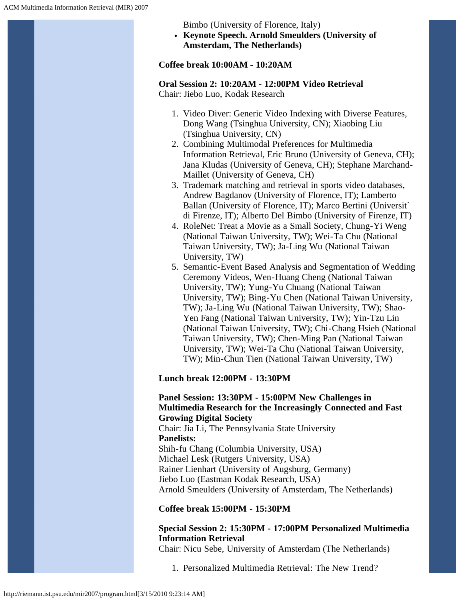Bimbo (University of Florence, Italy)

**Keynote Speech. Arnold Smeulders (University of Amsterdam, The Netherlands)**

# **Coffee break 10:00AM - 10:20AM**

# **Oral Session 2: 10:20AM - 12:00PM Video Retrieval**

Chair: Jiebo Luo, Kodak Research

- 1. Video Diver: Generic Video Indexing with Diverse Features, Dong Wang (Tsinghua University, CN); Xiaobing Liu (Tsinghua University, CN)
- 2. Combining Multimodal Preferences for Multimedia Information Retrieval, Eric Bruno (University of Geneva, CH); Jana Kludas (University of Geneva, CH); Stephane Marchand-Maillet (University of Geneva, CH)
- 3. Trademark matching and retrieval in sports video databases, Andrew Bagdanov (University of Florence, IT); Lamberto Ballan (University of Florence, IT); Marco Bertini (Universit` di Firenze, IT); Alberto Del Bimbo (University of Firenze, IT)
- 4. RoleNet: Treat a Movie as a Small Society, Chung-Yi Weng (National Taiwan University, TW); Wei-Ta Chu (National Taiwan University, TW); Ja-Ling Wu (National Taiwan University, TW)
- 5. Semantic-Event Based Analysis and Segmentation of Wedding Ceremony Videos, Wen-Huang Cheng (National Taiwan University, TW); Yung-Yu Chuang (National Taiwan University, TW); Bing-Yu Chen (National Taiwan University, TW); Ja-Ling Wu (National Taiwan University, TW); Shao-Yen Fang (National Taiwan University, TW); Yin-Tzu Lin (National Taiwan University, TW); Chi-Chang Hsieh (National Taiwan University, TW); Chen-Ming Pan (National Taiwan University, TW); Wei-Ta Chu (National Taiwan University, TW); Min-Chun Tien (National Taiwan University, TW)

#### **Lunch break 12:00PM - 13:30PM**

#### **Panel Session: 13:30PM - 15:00PM New Challenges in Multimedia Research for the Increasingly Connected and Fast Growing Digital Society**

Chair: Jia Li, The Pennsylvania State University **Panelists:** Shih-fu Chang (Columbia University, USA) Michael Lesk (Rutgers University, USA) Rainer Lienhart (University of Augsburg, Germany) Jiebo Luo (Eastman Kodak Research, USA) Arnold Smeulders (University of Amsterdam, The Netherlands)

#### **Coffee break 15:00PM - 15:30PM**

# **Special Session 2: 15:30PM - 17:00PM Personalized Multimedia Information Retrieval**

Chair: Nicu Sebe, University of Amsterdam (The Netherlands)

1. Personalized Multimedia Retrieval: The New Trend?